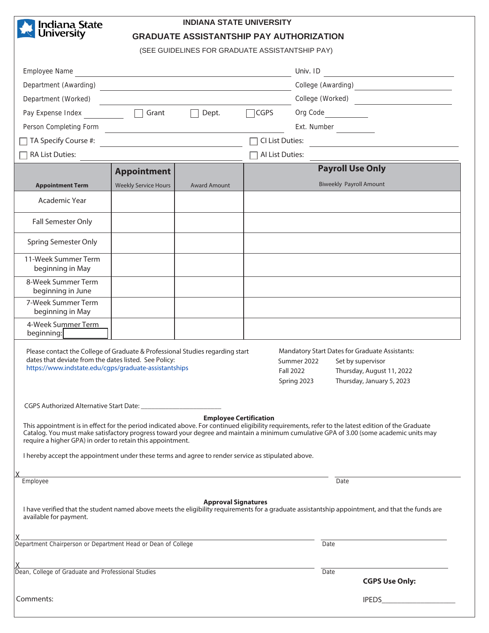**y Indiana State**<br>Y University Y,

## **INDIANA STATE UNIVERSITY**

**GRADUATE ASSISTANTSHIP PAY AUTHORIZATION** 

(SEE GUIDELINES FOR GRADUATE ASSISTANTSHIP PAY)

| Employee Name<br><u> 1989 - Johann Stein, mars an deus an deus Amerikaansk kommunister (</u>                                                                                                                                                                                                                                                                                                                                                                    |                                                             |                            |                               | Univ. ID                                                                     |                                                                             |
|-----------------------------------------------------------------------------------------------------------------------------------------------------------------------------------------------------------------------------------------------------------------------------------------------------------------------------------------------------------------------------------------------------------------------------------------------------------------|-------------------------------------------------------------|----------------------------|-------------------------------|------------------------------------------------------------------------------|-----------------------------------------------------------------------------|
| Department (Awarding)<br><u> 1989 - Johann Stein, fransk politik (d. 1989)</u>                                                                                                                                                                                                                                                                                                                                                                                  |                                                             |                            |                               | College (Awarding)<br><u> </u>                                               |                                                                             |
| Department (Worked)<br><u> 1980 - Johann Barbara, martin da basar a shekara 1980 - An tsara 1980 - An tsara 1980 - An tsara 1980 - An ts</u>                                                                                                                                                                                                                                                                                                                    |                                                             |                            |                               | College (Worked)                                                             |                                                                             |
| Pay Expense Index                                                                                                                                                                                                                                                                                                                                                                                                                                               | Grant                                                       | Dept.                      | $\Box$ CGPS                   | Org Code North States                                                        |                                                                             |
| Person Completing Form                                                                                                                                                                                                                                                                                                                                                                                                                                          | <u> 1989 - Johann Stoff, fransk politik (d. 1989)</u>       |                            |                               | Ext. Number                                                                  |                                                                             |
| TA Specify Course #:                                                                                                                                                                                                                                                                                                                                                                                                                                            | the control of the control of the control of the control of |                            | CI List Duties:               |                                                                              |                                                                             |
| RA List Duties:                                                                                                                                                                                                                                                                                                                                                                                                                                                 |                                                             |                            |                               |                                                                              |                                                                             |
|                                                                                                                                                                                                                                                                                                                                                                                                                                                                 | <b>Appointment</b>                                          |                            |                               | <b>Payroll Use Only</b>                                                      |                                                                             |
| <b>Appointment Term</b>                                                                                                                                                                                                                                                                                                                                                                                                                                         | <b>Weekly Service Hours</b>                                 | <b>Award Amount</b>        |                               | <b>Biweekly Payroll Amount</b>                                               |                                                                             |
| Academic Year                                                                                                                                                                                                                                                                                                                                                                                                                                                   |                                                             |                            |                               |                                                                              |                                                                             |
| <b>Fall Semester Only</b>                                                                                                                                                                                                                                                                                                                                                                                                                                       |                                                             |                            |                               |                                                                              |                                                                             |
| <b>Spring Semester Only</b>                                                                                                                                                                                                                                                                                                                                                                                                                                     |                                                             |                            |                               |                                                                              |                                                                             |
| 11-Week Summer Term<br>beginning in May                                                                                                                                                                                                                                                                                                                                                                                                                         |                                                             |                            |                               |                                                                              |                                                                             |
| 8-Week Summer Term<br>beginning in June                                                                                                                                                                                                                                                                                                                                                                                                                         |                                                             |                            |                               |                                                                              |                                                                             |
| 7-Week Summer Term<br>beginning in May                                                                                                                                                                                                                                                                                                                                                                                                                          |                                                             |                            |                               |                                                                              |                                                                             |
| 4-Week Summer Term<br>beginning:                                                                                                                                                                                                                                                                                                                                                                                                                                |                                                             |                            |                               |                                                                              |                                                                             |
| Please contact the College of Graduate & Professional Studies regarding start<br>dates that deviate from the dates listed. See Policy:<br>https://www.indstate.edu/cgps/graduate-assistantships<br><b>Fall 2022</b>                                                                                                                                                                                                                                             |                                                             |                            |                               | Mandatory Start Dates for Graduate Assistants:<br>Summer 2022<br>Spring 2023 | Set by supervisor<br>Thursday, August 11, 2022<br>Thursday, January 5, 2023 |
| CGPS Authorized Alternative Start Date:                                                                                                                                                                                                                                                                                                                                                                                                                         |                                                             |                            |                               |                                                                              |                                                                             |
| This appointment is in effect for the period indicated above. For continued eligibility requirements, refer to the latest edition of the Graduate<br>Catalog. You must make satisfactory progress toward your degree and maintain a minimum cumulative GPA of 3.00 (some academic units may<br>require a higher GPA) in order to retain this appointment.<br>I hereby accept the appointment under these terms and agree to render service as stipulated above. |                                                             |                            | <b>Employee Certification</b> |                                                                              |                                                                             |
|                                                                                                                                                                                                                                                                                                                                                                                                                                                                 |                                                             |                            |                               |                                                                              |                                                                             |
| <u> 1989 - Johann Stoff, amerikansk politiker (d. 1989)</u><br>Employee                                                                                                                                                                                                                                                                                                                                                                                         |                                                             |                            |                               | Date                                                                         |                                                                             |
| I have verified that the student named above meets the eligibility requirements for a graduate assistantship appointment, and that the funds are<br>available for payment.                                                                                                                                                                                                                                                                                      |                                                             | <b>Approval Signatures</b> |                               |                                                                              |                                                                             |
|                                                                                                                                                                                                                                                                                                                                                                                                                                                                 |                                                             |                            |                               | Date                                                                         |                                                                             |
| X<br>Dean, College of Graduate and Professional Studies                                                                                                                                                                                                                                                                                                                                                                                                         |                                                             |                            |                               | Date                                                                         |                                                                             |
|                                                                                                                                                                                                                                                                                                                                                                                                                                                                 |                                                             |                            |                               |                                                                              | <b>CGPS Use Only:</b>                                                       |
| Comments:                                                                                                                                                                                                                                                                                                                                                                                                                                                       |                                                             |                            |                               |                                                                              | <b>IPEDS CONTROL</b>                                                        |